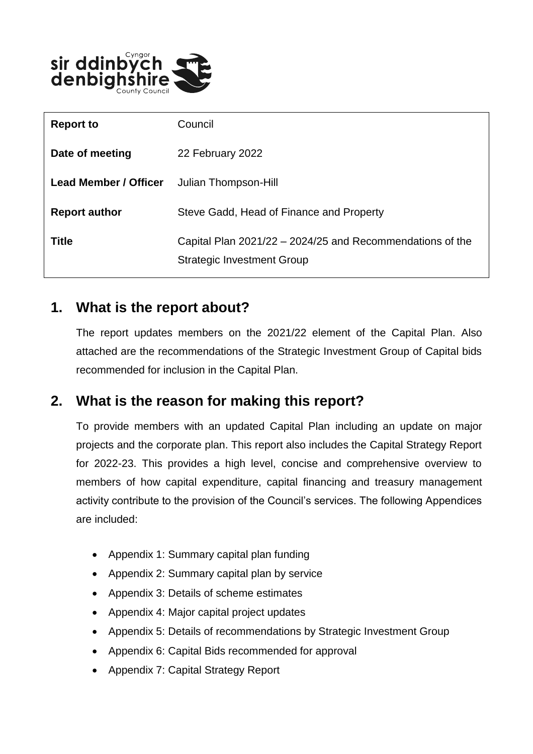

| <b>Report to</b>             | Council                                                                                        |
|------------------------------|------------------------------------------------------------------------------------------------|
| Date of meeting              | 22 February 2022                                                                               |
| <b>Lead Member / Officer</b> | Julian Thompson-Hill                                                                           |
| <b>Report author</b>         | Steve Gadd, Head of Finance and Property                                                       |
| <b>Title</b>                 | Capital Plan 2021/22 – 2024/25 and Recommendations of the<br><b>Strategic Investment Group</b> |

## **1. What is the report about?**

The report updates members on the 2021/22 element of the Capital Plan. Also attached are the recommendations of the Strategic Investment Group of Capital bids recommended for inclusion in the Capital Plan.

# **2. What is the reason for making this report?**

To provide members with an updated Capital Plan including an update on major projects and the corporate plan. This report also includes the Capital Strategy Report for 2022-23. This provides a high level, concise and comprehensive overview to members of how capital expenditure, capital financing and treasury management activity contribute to the provision of the Council's services. The following Appendices are included:

- Appendix 1: Summary capital plan funding
- Appendix 2: Summary capital plan by service
- Appendix 3: Details of scheme estimates
- Appendix 4: Major capital project updates
- Appendix 5: Details of recommendations by Strategic Investment Group
- Appendix 6: Capital Bids recommended for approval
- Appendix 7: Capital Strategy Report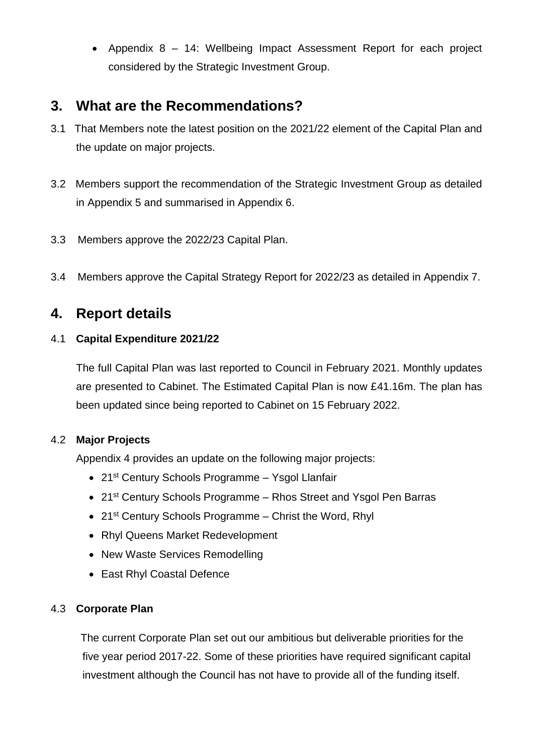Appendix 8 – 14: Wellbeing Impact Assessment Report for each project considered by the Strategic Investment Group.

## **3. What are the Recommendations?**

- 3.1 That Members note the latest position on the 2021/22 element of the Capital Plan and the update on major projects.
- 3.2 Members support the recommendation of the Strategic Investment Group as detailed in Appendix 5 and summarised in Appendix 6.
- 3.3 Members approve the 2022/23 Capital Plan.
- 3.4 Members approve the Capital Strategy Report for 2022/23 as detailed in Appendix 7.

# **4. Report details**

### 4.1 **Capital Expenditure 2021/22**

The full Capital Plan was last reported to Council in February 2021. Monthly updates are presented to Cabinet. The Estimated Capital Plan is now £41.16m. The plan has been updated since being reported to Cabinet on 15 February 2022.

### 4.2 **Major Projects**

Appendix 4 provides an update on the following major projects:

- 21st Century Schools Programme Ysgol Llanfair
- 21<sup>st</sup> Century Schools Programme Rhos Street and Ysgol Pen Barras
- 21<sup>st</sup> Century Schools Programme Christ the Word, Rhyl
- Rhyl Queens Market Redevelopment
- New Waste Services Remodelling
- East Rhyl Coastal Defence

### 4.3 **Corporate Plan**

 The current Corporate Plan set out our ambitious but deliverable priorities for the five year period 2017-22. Some of these priorities have required significant capital investment although the Council has not have to provide all of the funding itself.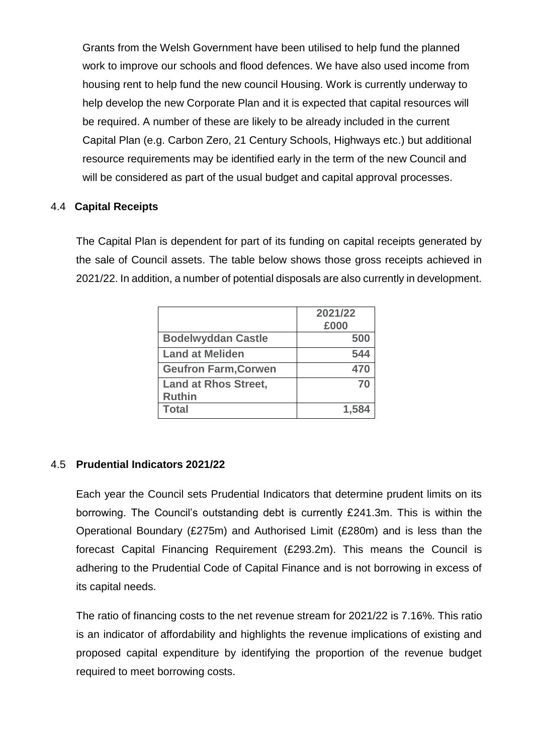Grants from the Welsh Government have been utilised to help fund the planned work to improve our schools and flood defences. We have also used income from housing rent to help fund the new council Housing. Work is currently underway to help develop the new Corporate Plan and it is expected that capital resources will be required. A number of these are likely to be already included in the current Capital Plan (e.g. Carbon Zero, 21 Century Schools, Highways etc.) but additional resource requirements may be identified early in the term of the new Council and will be considered as part of the usual budget and capital approval processes.

#### 4.4 **Capital Receipts**

The Capital Plan is dependent for part of its funding on capital receipts generated by the sale of Council assets. The table below shows those gross receipts achieved in 2021/22. In addition, a number of potential disposals are also currently in development.

|                                              | 2021/22<br>£000 |
|----------------------------------------------|-----------------|
| <b>Bodelwyddan Castle</b>                    | 500             |
| <b>Land at Meliden</b>                       | 544             |
| <b>Geufron Farm, Corwen</b>                  | 470             |
| <b>Land at Rhos Street,</b><br><b>Ruthin</b> | 70              |
| <b>Total</b>                                 | 1.584           |

### 4.5 **Prudential Indicators 2021/22**

Each year the Council sets Prudential Indicators that determine prudent limits on its borrowing. The Council's outstanding debt is currently £241.3m. This is within the Operational Boundary (£275m) and Authorised Limit (£280m) and is less than the forecast Capital Financing Requirement (£293.2m). This means the Council is adhering to the Prudential Code of Capital Finance and is not borrowing in excess of its capital needs.

The ratio of financing costs to the net revenue stream for 2021/22 is 7.16%. This ratio is an indicator of affordability and highlights the revenue implications of existing and proposed capital expenditure by identifying the proportion of the revenue budget required to meet borrowing costs.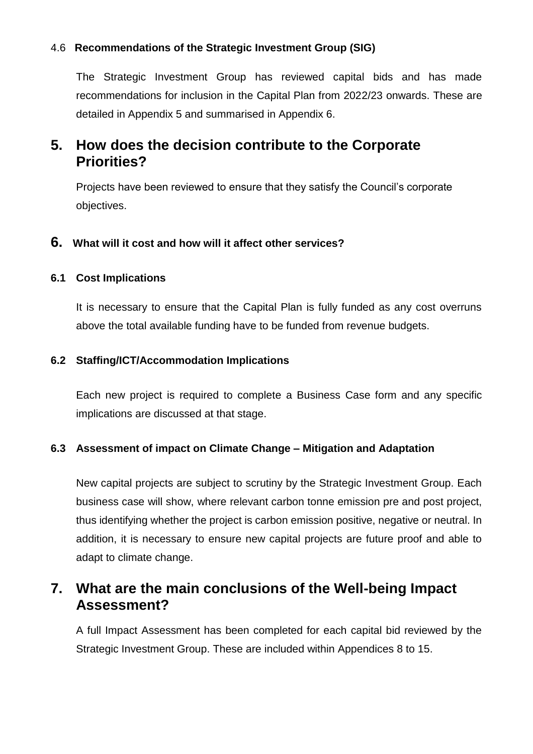### 4.6 **Recommendations of the Strategic Investment Group (SIG)**

The Strategic Investment Group has reviewed capital bids and has made recommendations for inclusion in the Capital Plan from 2022/23 onwards. These are detailed in Appendix 5 and summarised in Appendix 6.

## **5. How does the decision contribute to the Corporate Priorities?**

Projects have been reviewed to ensure that they satisfy the Council's corporate objectives.

### **6. What will it cost and how will it affect other services?**

#### **6.1 Cost Implications**

It is necessary to ensure that the Capital Plan is fully funded as any cost overruns above the total available funding have to be funded from revenue budgets.

#### **6.2 Staffing/ICT/Accommodation Implications**

Each new project is required to complete a Business Case form and any specific implications are discussed at that stage.

#### **6.3 Assessment of impact on Climate Change – Mitigation and Adaptation**

New capital projects are subject to scrutiny by the Strategic Investment Group. Each business case will show, where relevant carbon tonne emission pre and post project, thus identifying whether the project is carbon emission positive, negative or neutral. In addition, it is necessary to ensure new capital projects are future proof and able to adapt to climate change.

## **7. What are the main conclusions of the Well-being Impact Assessment?**

A full Impact Assessment has been completed for each capital bid reviewed by the Strategic Investment Group. These are included within Appendices 8 to 15.